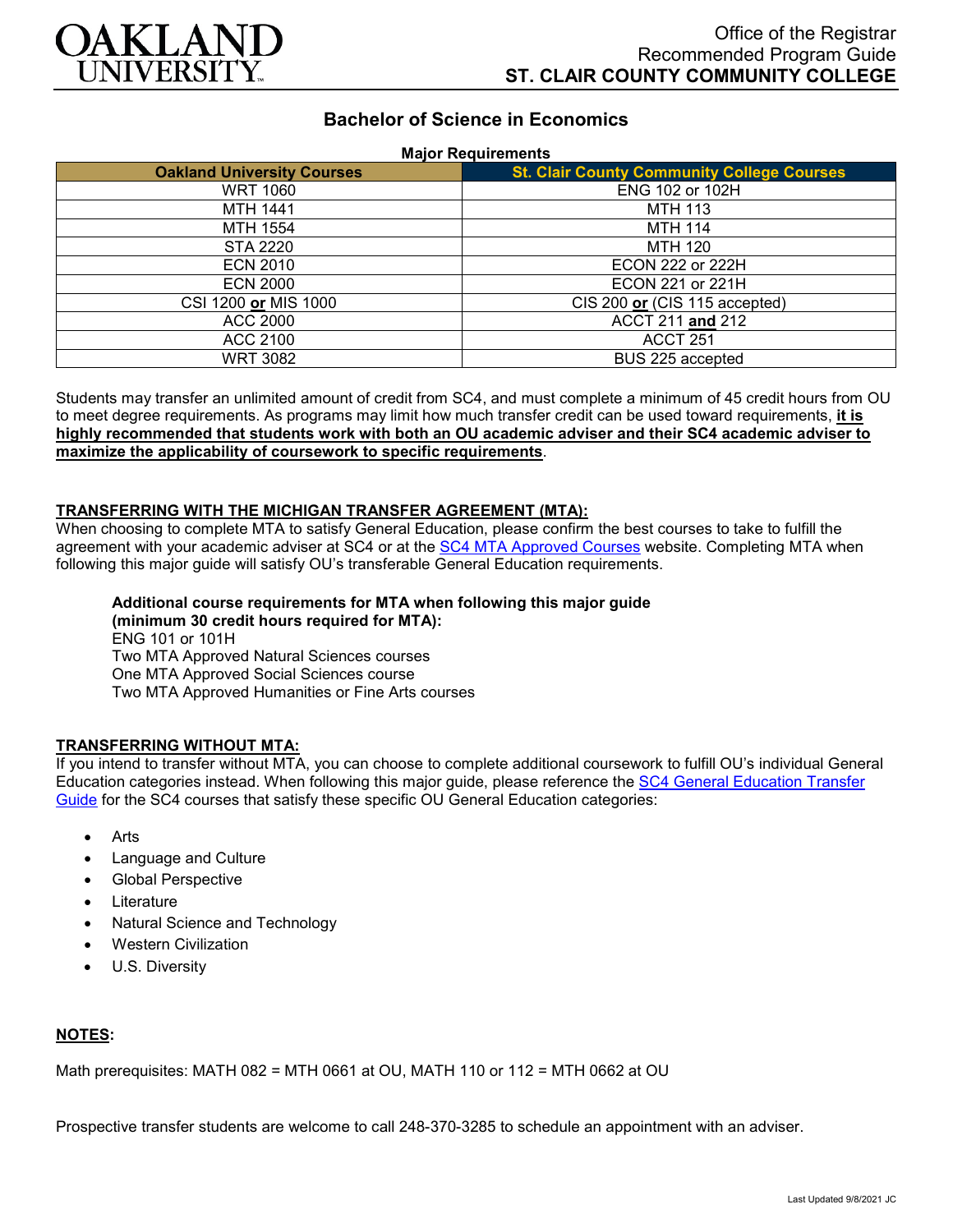

# **Bachelor of Science in Economics**

### **Major Requirements**

| <b>Oakland University Courses</b> | <b>St. Clair County Community College Courses</b> |
|-----------------------------------|---------------------------------------------------|
| <b>WRT 1060</b>                   | ENG 102 or 102H                                   |
| <b>MTH 1441</b>                   | <b>MTH 113</b>                                    |
| MTH 1554                          | <b>MTH 114</b>                                    |
| STA 2220                          | <b>MTH 120</b>                                    |
| <b>ECN 2010</b>                   | ECON 222 or 222H                                  |
| <b>ECN 2000</b>                   | ECON 221 or 221H                                  |
| CSI 1200 or MIS 1000              | CIS 200 or (CIS 115 accepted)                     |
| ACC 2000                          | ACCT 211 and 212                                  |
| ACC 2100                          | <b>ACCT 251</b>                                   |
| WRT 3082                          | BUS 225 accepted                                  |

Students may transfer an unlimited amount of credit from SC4, and must complete a minimum of 45 credit hours from OU to meet degree requirements. As programs may limit how much transfer credit can be used toward requirements, **it is highly recommended that students work with both an OU academic adviser and their SC4 academic adviser to maximize the applicability of coursework to specific requirements**.

#### **TRANSFERRING WITH THE MICHIGAN TRANSFER AGREEMENT (MTA):**

When choosing to complete MTA to satisfy General Education, please confirm the best courses to take to fulfill the agreement with your academic adviser at SC4 or at the [SC4 MTA Approved Courses](https://sc4.edu/admissions/transferring-after-sc4/michigan-transfer-agreement/) website. Completing MTA when following this major guide will satisfy OU's transferable General Education requirements.

#### **Additional course requirements for MTA when following this major guide (minimum 30 credit hours required for MTA):** ENG 101 or 101H Two MTA Approved Natural Sciences courses One MTA Approved Social Sciences course

Two MTA Approved Humanities or Fine Arts courses

## **TRANSFERRING WITHOUT MTA:**

If you intend to transfer without MTA, you can choose to complete additional coursework to fulfill OU's individual General Education categories instead. When following this major guide, please reference the [SC4 General Education Transfer](https://www.oakland.edu/Assets/Oakland/program-guides/st-clair-county-community-college/university-general-education-requirements/SC4%20Gen%20Ed.pdf)  [Guide](https://www.oakland.edu/Assets/Oakland/program-guides/st-clair-county-community-college/university-general-education-requirements/SC4%20Gen%20Ed.pdf) for the SC4 courses that satisfy these specific OU General Education categories:

- Arts
- Language and Culture
- Global Perspective
- **Literature**
- Natural Science and Technology
- Western Civilization
- U.S. Diversity

## **NOTES:**

Math prerequisites: MATH 082 = MTH 0661 at OU, MATH 110 or 112 = MTH 0662 at OU

Prospective transfer students are welcome to call 248-370-3285 to schedule an appointment with an adviser.